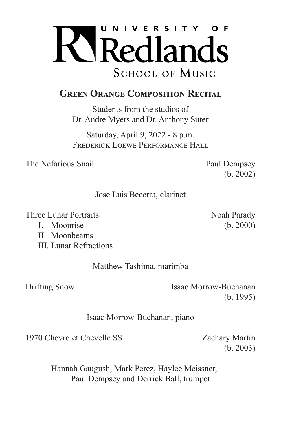

## **GREEN ORANGE COMPOSITION RECITAL**

Students from the studios of Dr. Andre Myers and Dr. Anthony Suter

Saturday, April 9, 2022 - 8 p.m. FREDERICK LOEWE PERFORMANCE HALL

The Nefarious Snail Paul Dempsey

(b. 2002)

Jose Luis Becerra, clarinet

Three Lunar Portraits Noah Parady

- 
- II. Moonbeams
- III. Lunar Refractions

Matthew Tashima, marimba

Drifting Snow Isaac Morrow-Buchanan (b. 1995)

Isaac Morrow-Buchanan, piano

1970 Chevrolet Chevelle SS Zachary Martin

(b. 2003)

Hannah Gaugush, Mark Perez, Haylee Meissner, Paul Dempsey and Derrick Ball, trumpet

I. Moonrise (b. 2000)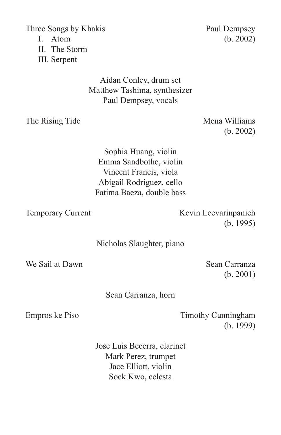Three Songs by Khakis Paul Dempsey

II. The Storm

III. Serpent

### Aidan Conley, drum set Matthew Tashima, synthesizer Paul Dempsey, vocals

The Rising Tide Mena Williams

(b. 2002)

Sophia Huang, violin Emma Sandbothe, violin Vincent Francis, viola Abigail Rodriguez, cello Fatima Baeza, double bass

Temporary Current Kevin Leevarinpanich (b. 1995)

Nicholas Slaughter, piano

We Sail at Dawn Sean Carranza

(b. 2001)

Sean Carranza, horn

Empros ke Piso Timothy Cunningham (b. 1999)

> Jose Luis Becerra, clarinet Mark Perez, trumpet Jace Elliott, violin Sock Kwo, celesta

I. Atom (b. 2002)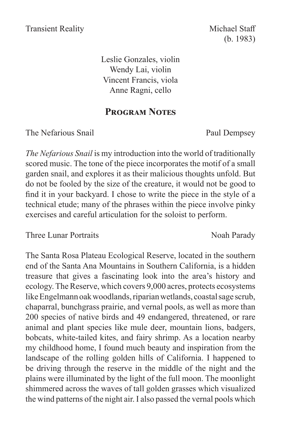(b. 1983)

Leslie Gonzales, violin Wendy Lai, violin Vincent Francis, viola Anne Ragni, cello

### **Program Notes**

The Nefarious Snail Paul Dempsey

*The Nefarious Snail* is my introduction into the world of traditionally scored music. The tone of the piece incorporates the motif of a small garden snail, and explores it as their malicious thoughts unfold. But do not be fooled by the size of the creature, it would not be good to find it in your backyard. I chose to write the piece in the style of a technical etude; many of the phrases within the piece involve pinky exercises and careful articulation for the soloist to perform.

Three Lunar Portraits Noah Parady

The Santa Rosa Plateau Ecological Reserve, located in the southern end of the Santa Ana Mountains in Southern California, is a hidden treasure that gives a fascinating look into the area's history and ecology. The Reserve, which covers 9,000 acres, protects ecosystems like Engelmann oak woodlands, riparian wetlands, coastal sage scrub, chaparral, bunchgrass prairie, and vernal pools, as well as more than 200 species of native birds and 49 endangered, threatened, or rare animal and plant species like mule deer, mountain lions, badgers, bobcats, white-tailed kites, and fairy shrimp. As a location nearby my childhood home, I found much beauty and inspiration from the landscape of the rolling golden hills of California. I happened to be driving through the reserve in the middle of the night and the plains were illuminated by the light of the full moon. The moonlight shimmered across the waves of tall golden grasses which visualized the wind patterns of the night air. I also passed the vernal pools which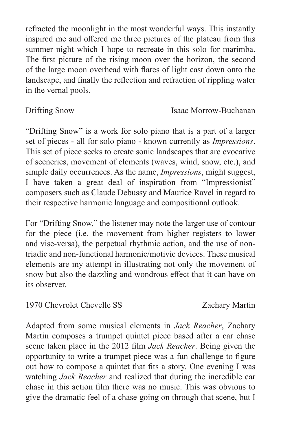refracted the moonlight in the most wonderful ways. This instantly inspired me and offered me three pictures of the plateau from this summer night which I hope to recreate in this solo for marimba. The first picture of the rising moon over the horizon, the second of the large moon overhead with flares of light cast down onto the landscape, and finally the reflection and refraction of rippling water in the vernal pools.

### Drifting Snow Isaac Morrow-Buchanan

"Drifting Snow" is a work for solo piano that is a part of a larger set of pieces - all for solo piano - known currently as *Impressions*. This set of piece seeks to create sonic landscapes that are evocative of sceneries, movement of elements (waves, wind, snow, etc.), and simple daily occurrences. As the name, *Impressions*, might suggest, I have taken a great deal of inspiration from "Impressionist" composers such as Claude Debussy and Maurice Ravel in regard to their respective harmonic language and compositional outlook.

For "Drifting Snow," the listener may note the larger use of contour for the piece (i.e. the movement from higher registers to lower and vise-versa), the perpetual rhythmic action, and the use of nontriadic and non-functional harmonic/motivic devices. These musical elements are my attempt in illustrating not only the movement of snow but also the dazzling and wondrous effect that it can have on its observer.

1970 Chevrolet Chevelle SS Zachary Martin

Adapted from some musical elements in *Jack Reacher*, Zachary Martin composes a trumpet quintet piece based after a car chase scene taken place in the 2012 film *Jack Reacher*. Being given the opportunity to write a trumpet piece was a fun challenge to figure out how to compose a quintet that fits a story. One evening I was watching *Jack Reacher* and realized that during the incredible car chase in this action film there was no music. This was obvious to give the dramatic feel of a chase going on through that scene, but I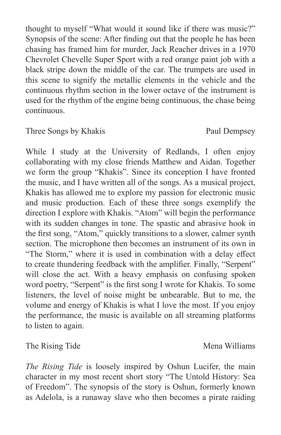thought to myself "What would it sound like if there was music?" Synopsis of the scene: After finding out that the people he has been chasing has framed him for murder, Jack Reacher drives in a 1970 Chevrolet Chevelle Super Sport with a red orange paint job with a black stripe down the middle of the car. The trumpets are used in this scene to signify the metallic elements in the vehicle and the continuous rhythm section in the lower octave of the instrument is used for the rhythm of the engine being continuous, the chase being continuous.

### Three Songs by Khakis Paul Dempsey

While I study at the University of Redlands, I often enjoy collaborating with my close friends Matthew and Aidan. Together we form the group "Khakis". Since its conception I have fronted the music, and I have written all of the songs. As a musical project, Khakis has allowed me to explore my passion for electronic music and music production. Each of these three songs exemplify the direction I explore with Khakis. "Atom" will begin the performance with its sudden changes in tone. The spastic and abrasive hook in the first song, "Atom," quickly transitions to a slower, calmer synth section. The microphone then becomes an instrument of its own in "The Storm," where it is used in combination with a delay effect to create thundering feedback with the amplifier. Finally, "Serpent" will close the act. With a heavy emphasis on confusing spoken word poetry, "Serpent" is the first song I wrote for Khakis. To some listeners, the level of noise might be unbearable. But to me, the volume and energy of Khakis is what I love the most. If you enjoy the performance, the music is available on all streaming platforms to listen to again.

The Rising Tide Mena Williams

*The Rising Tide* is loosely inspired by Oshun Lucifer, the main character in my most recent short story "The Untold History: Sea of Freedom". The synopsis of the story is Oshun, formerly known as Adelola, is a runaway slave who then becomes a pirate raiding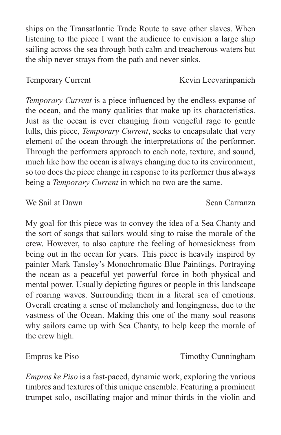ships on the Transatlantic Trade Route to save other slaves. When listening to the piece I want the audience to envision a large ship sailing across the sea through both calm and treacherous waters but the ship never strays from the path and never sinks.

*Temporary Current* is a piece influenced by the endless expanse of the ocean, and the many qualities that make up its characteristics. Just as the ocean is ever changing from vengeful rage to gentle lulls, this piece, *Temporary Current*, seeks to encapsulate that very element of the ocean through the interpretations of the performer. Through the performers approach to each note, texture, and sound, much like how the ocean is always changing due to its environment, so too does the piece change in response to its performer thus always being a *Temporary Current* in which no two are the same.

We Sail at Dawn Sean Carranza

My goal for this piece was to convey the idea of a Sea Chanty and the sort of songs that sailors would sing to raise the morale of the crew. However, to also capture the feeling of homesickness from being out in the ocean for years. This piece is heavily inspired by painter Mark Tansley's Monochromatic Blue Paintings. Portraying the ocean as a peaceful yet powerful force in both physical and mental power. Usually depicting figures or people in this landscape of roaring waves. Surrounding them in a literal sea of emotions. Overall creating a sense of melancholy and longingness, due to the vastness of the Ocean. Making this one of the many soul reasons why sailors came up with Sea Chanty, to help keep the morale of the crew high.

*Empros ke Piso* is a fast-paced, dynamic work, exploring the various timbres and textures of this unique ensemble. Featuring a prominent trumpet solo, oscillating major and minor thirds in the violin and

Empros ke Piso Timothy Cunningham

Temporary Current Kevin Leevarinpanich